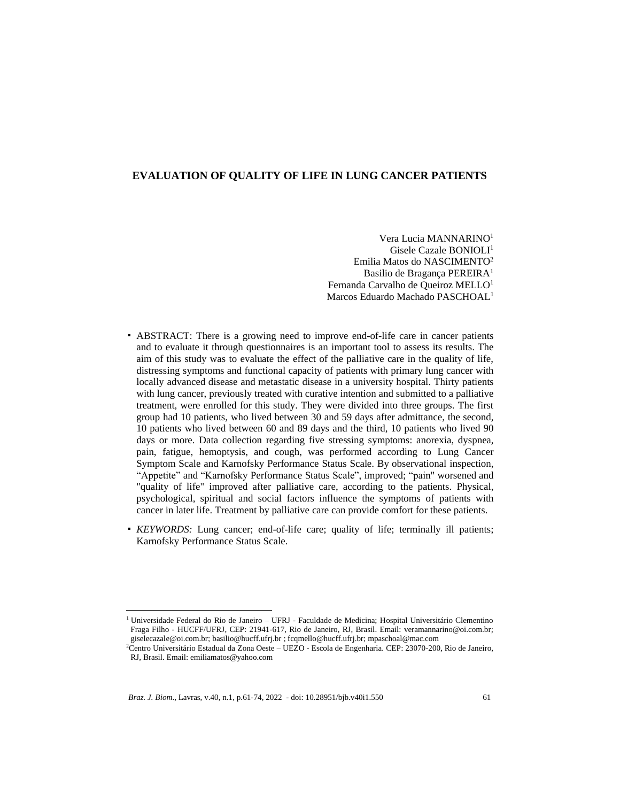# **EVALUATION OF QUALITY OF LIFE IN LUNG CANCER PATIENTS**

Vera Lucia MANNARINO<sup>1</sup> Gisele Cazale BONIOLI<sup>1</sup> Emilia Matos do NASCIMENTO<sup>2</sup> Basilio de Bragança PEREIRA<sup>1</sup> Fernanda Carvalho de Queiroz MELLO<sup>1</sup> Marcos Eduardo Machado PASCHOAL<sup>1</sup>

- ABSTRACT: There is a growing need to improve end-of-life care in cancer patients and to evaluate it through questionnaires is an important tool to assess its results. The aim of this study was to evaluate the effect of the palliative care in the quality of life, distressing symptoms and functional capacity of patients with primary lung cancer with locally advanced disease and metastatic disease in a university hospital. Thirty patients with lung cancer, previously treated with curative intention and submitted to a palliative treatment, were enrolled for this study. They were divided into three groups. The first group had 10 patients, who lived between 30 and 59 days after admittance, the second, 10 patients who lived between 60 and 89 days and the third, 10 patients who lived 90 days or more. Data collection regarding five stressing symptoms: anorexia, dyspnea, pain, fatigue, hemoptysis, and cough, was performed according to Lung Cancer Symptom Scale and Karnofsky Performance Status Scale. By observational inspection, "Appetite" and "Karnofsky Performance Status Scale", improved; "pain" worsened and "quality of life" improved after palliative care, according to the patients. Physical, psychological, spiritual and social factors influence the symptoms of patients with cancer in later life. Treatment by palliative care can provide comfort for these patients.
- *KEYWORDS:* Lung cancer; end-of-life care; quality of life; terminally ill patients; Karnofsky Performance Status Scale.

<sup>1</sup> Universidade Federal do Rio de Janeiro – UFRJ - Faculdade de Medicina; Hospital Universitário Clementino Fraga Filho - HUCFF/UFRJ, CEP: 21941-617, Rio de Janeiro, RJ, Brasil. Email: veramannarino@oi.com.br; giselecazale@oi.com.br; basilio@hucff.ufrj.br ; fcqmello@hucff.ufrj.br; mpaschoal@mac.com

<sup>2</sup>Centro Universitário Estadual da Zona Oeste – UEZO - Escola de Engenharia. CEP: 23070-200, Rio de Janeiro, RJ, Brasil. Email: emiliamatos@yahoo.com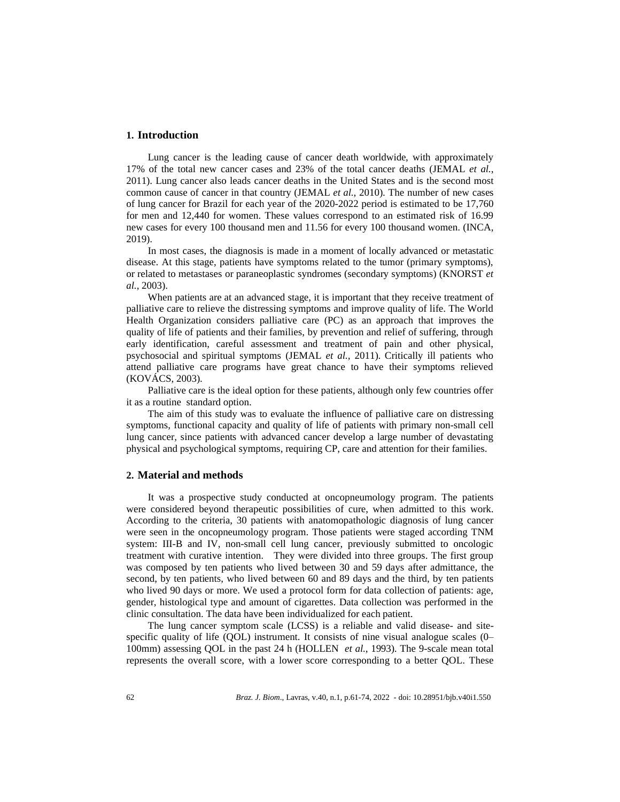### **1. Introduction**

Lung cancer is the leading cause of cancer death worldwide, with approximately 17% of the total new cancer cases and 23% of the total cancer deaths (JEMAL *et al.*, 2011). Lung cancer also leads cancer deaths in the United States and is the second most common cause of cancer in that country (JEMAL *et al.*, 2010). The number of new cases of lung cancer for Brazil for each year of the 2020-2022 period is estimated to be 17,760 for men and 12,440 for women. These values correspond to an estimated risk of 16.99 new cases for every 100 thousand men and 11.56 for every 100 thousand women. (INCA, 2019).

In most cases, the diagnosis is made in a moment of locally advanced or metastatic disease. At this stage, patients have symptoms related to the tumor (primary symptoms), or related to metastases or paraneoplastic syndromes (secondary symptoms) (KNORST *et al.*, 2003).

When patients are at an advanced stage, it is important that they receive treatment of palliative care to relieve the distressing symptoms and improve quality of life. The World Health Organization considers palliative care (PC) as an approach that improves the quality of life of patients and their families, by prevention and relief of suffering, through early identification, careful assessment and treatment of pain and other physical, psychosocial and spiritual symptoms (JEMAL *et al.*, 2011). Critically ill patients who attend palliative care programs have great chance to have their symptoms relieved (KOVÁCS, 2003).

Palliative care is the ideal option for these patients, although only few countries offer it as a routine standard option.

The aim of this study was to evaluate the influence of palliative care on distressing symptoms, functional capacity and quality of life of patients with primary non-small cell lung cancer, since patients with advanced cancer develop a large number of devastating physical and psychological symptoms, requiring CP, care and attention for their families.

#### **2. Material and methods**

It was a prospective study conducted at oncopneumology program. The patients were considered beyond therapeutic possibilities of cure, when admitted to this work. According to the criteria, 30 patients with anatomopathologic diagnosis of lung cancer were seen in the oncopneumology program. Those patients were staged according TNM system: III-B and IV, non-small cell lung cancer, previously submitted to oncologic treatment with curative intention. They were divided into three groups. The first group was composed by ten patients who lived between 30 and 59 days after admittance, the second, by ten patients, who lived between 60 and 89 days and the third, by ten patients who lived 90 days or more. We used a protocol form for data collection of patients: age, gender, histological type and amount of cigarettes. Data collection was performed in the clinic consultation. The data have been individualized for each patient.

The lung cancer symptom scale (LCSS) is a reliable and valid disease- and sitespecific quality of life (QOL) instrument. It consists of nine visual analogue scales (0– 100mm) assessing QOL in the past 24 h (HOLLEN *et al.*, 1993). The 9-scale mean total represents the overall score, with a lower score corresponding to a better QOL. These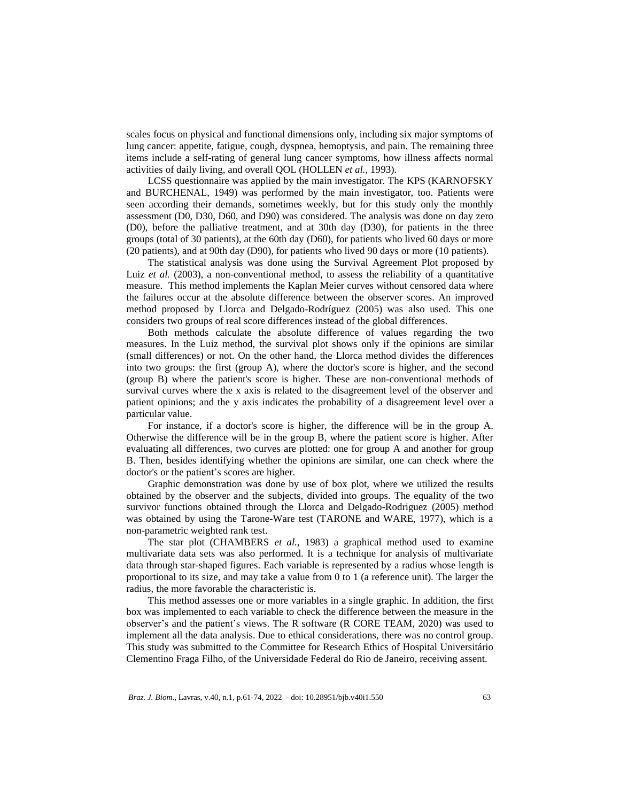scales focus on physical and functional dimensions only, including six major symptoms of lung cancer: appetite, fatigue, cough, dyspnea, hemoptysis, and pain. The remaining three items include a self-rating of general lung cancer symptoms, how illness affects normal activities of daily living, and overall QOL (HOLLEN *et al.*, 1993).

LCSS questionnaire was applied by the main investigator. The KPS (KARNOFSKY and BURCHENAL, 1949) was performed by the main investigator, too. Patients were seen according their demands, sometimes weekly, but for this study only the monthly assessment (D0, D30, D60, and D90) was considered. The analysis was done on day zero (D0), before the palliative treatment, and at 30th day (D30), for patients in the three groups (total of 30 patients), at the 60th day (D60), for patients who lived 60 days or more (20 patients), and at 90th day (D90), for patients who lived 90 days or more (10 patients).

The statistical analysis was done using the Survival Agreement Plot proposed by Luiz *et al.* (2003), a non-conventional method, to assess the reliability of a quantitative measure. This method implements the Kaplan Meier curves without censored data where the failures occur at the absolute difference between the observer scores. An improved method proposed by Llorca and Delgado-Rodríguez (2005) was also used. This one considers two groups of real score differences instead of the global differences.

Both methods calculate the absolute difference of values regarding the two measures. In the Luiz method, the survival plot shows only if the opinions are similar (small differences) or not. On the other hand, the Llorca method divides the differences into two groups: the first (group A), where the doctor's score is higher, and the second (group B) where the patient's score is higher. These are non-conventional methods of survival curves where the x axis is related to the disagreement level of the observer and patient opinions; and the y axis indicates the probability of a disagreement level over a particular value.

For instance, if a doctor's score is higher, the difference will be in the group A. Otherwise the difference will be in the group B, where the patient score is higher. After evaluating all differences, two curves are plotted: one for group A and another for group B. Then, besides identifying whether the opinions are similar, one can check where the doctor's or the patient's scores are higher.

Graphic demonstration was done by use of box plot, where we utilized the results obtained by the observer and the subjects, divided into groups. The equality of the two survivor functions obtained through the Llorca and Delgado-Rodriguez (2005) method was obtained by using the Tarone-Ware test (TARONE and WARE, 1977), which is a non-parametric weighted rank test.

The star plot (CHAMBERS *et al.*, 1983) a graphical method used to examine multivariate data sets was also performed. It is a technique for analysis of multivariate data through star-shaped figures. Each variable is represented by a radius whose length is proportional to its size, and may take a value from 0 to 1 (a reference unit). The larger the radius, the more favorable the characteristic is.

This method assesses one or more variables in a single graphic. In addition, the first box was implemented to each variable to check the difference between the measure in the observer's and the patient's views. The R software (R CORE TEAM, 2020) was used to implement all the data analysis. Due to ethical considerations, there was no control group. This study was submitted to the Committee for Research Ethics of Hospital Universitário Clementino Fraga Filho, of the Universidade Federal do Rio de Janeiro, receiving assent.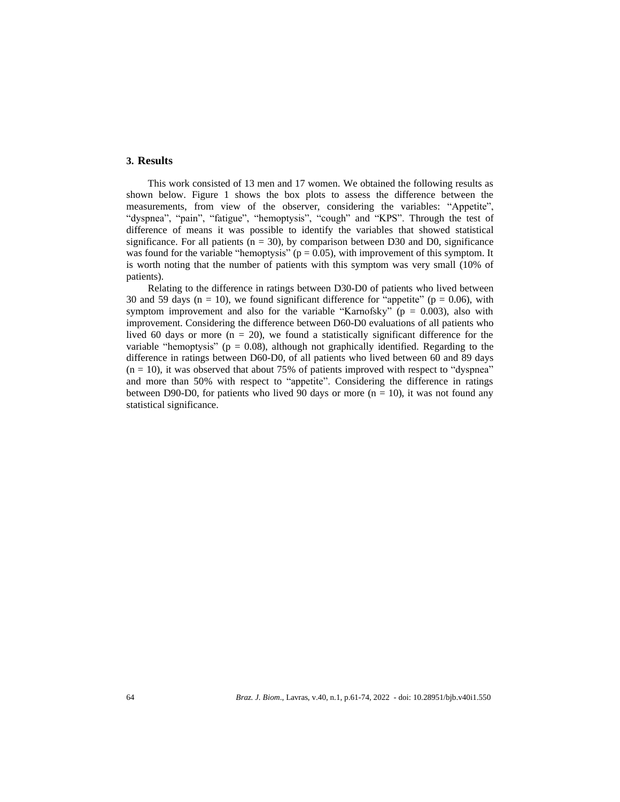# **3. Results**

This work consisted of 13 men and 17 women. We obtained the following results as shown below. Figure 1 shows the box plots to assess the difference between the measurements, from view of the observer, considering the variables: "Appetite", "dyspnea", "pain", "fatigue", "hemoptysis", "cough" and "KPS". Through the test of difference of means it was possible to identify the variables that showed statistical significance. For all patients ( $n = 30$ ), by comparison between D30 and D0, significance was found for the variable "hemoptysis" ( $p = 0.05$ ), with improvement of this symptom. It is worth noting that the number of patients with this symptom was very small (10% of patients).

Relating to the difference in ratings between D30-D0 of patients who lived between 30 and 59 days ( $n = 10$ ), we found significant difference for "appetite" ( $p = 0.06$ ), with symptom improvement and also for the variable "Karnofsky" ( $p = 0.003$ ), also with improvement. Considering the difference between D60-D0 evaluations of all patients who lived 60 days or more  $(n = 20)$ , we found a statistically significant difference for the variable "hemoptysis" ( $p = 0.08$ ), although not graphically identified. Regarding to the difference in ratings between D60-D0, of all patients who lived between 60 and 89 days  $(n = 10)$ , it was observed that about 75% of patients improved with respect to "dyspnea" and more than 50% with respect to "appetite". Considering the difference in ratings between D90-D0, for patients who lived 90 days or more  $(n = 10)$ , it was not found any statistical significance.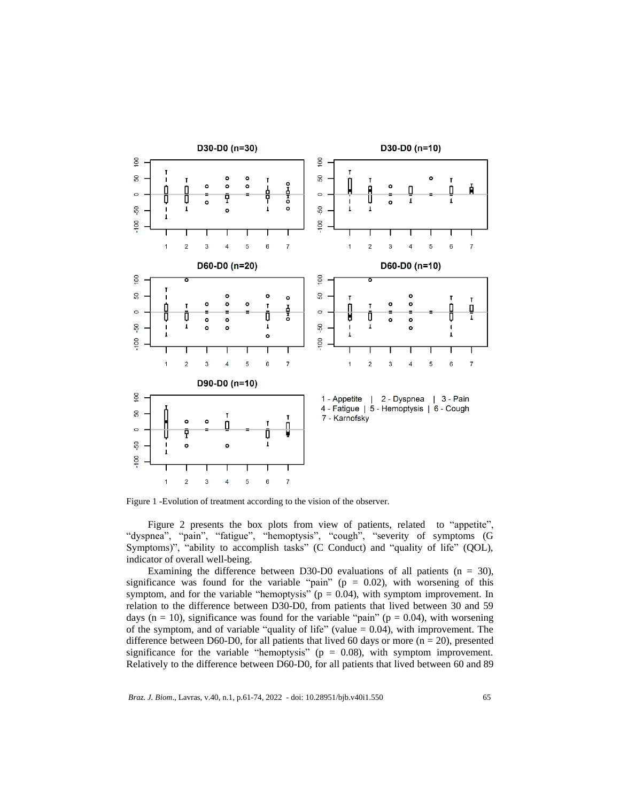

Figure 1 -Evolution of treatment according to the vision of the observer.

Figure 2 presents the box plots from view of patients, related to "appetite", "dyspnea", "pain", "fatigue", "hemoptysis", "cough", "severity of symptoms (G Symptoms)", "ability to accomplish tasks" (C Conduct) and "quality of life" (QOL), indicator of overall well-being.

Examining the difference between D30-D0 evaluations of all patients  $(n = 30)$ , significance was found for the variable "pain" ( $p = 0.02$ ), with worsening of this symptom, and for the variable "hemoptysis" ( $p = 0.04$ ), with symptom improvement. In relation to the difference between D30-D0, from patients that lived between 30 and 59 days ( $n = 10$ ), significance was found for the variable "pain" ( $p = 0.04$ ), with worsening of the symptom, and of variable "quality of life" (value  $= 0.04$ ), with improvement. The difference between D60-D0, for all patients that lived 60 days or more ( $n = 20$ ), presented significance for the variable "hemoptysis" ( $p = 0.08$ ), with symptom improvement. Relatively to the difference between D60-D0, for all patients that lived between 60 and 89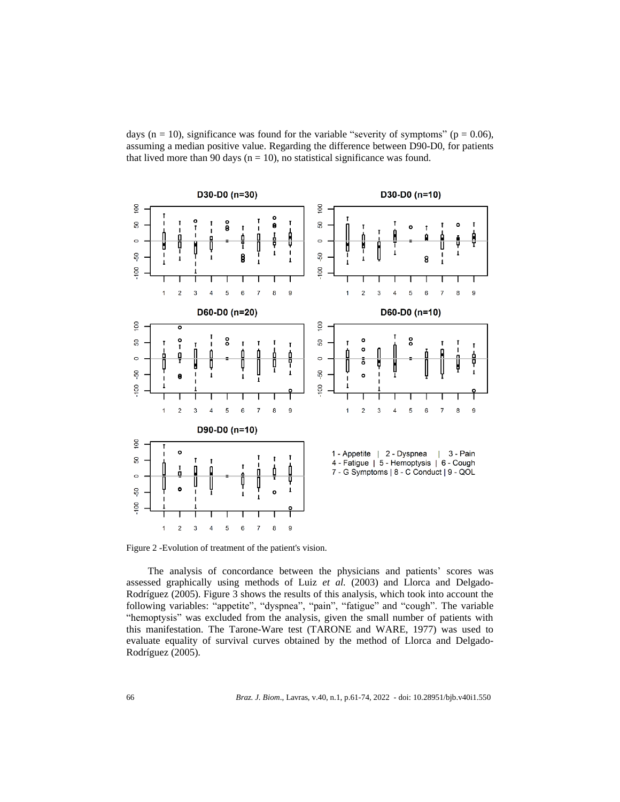days ( $n = 10$ ), significance was found for the variable "severity of symptoms" ( $p = 0.06$ ), assuming a median positive value. Regarding the difference between D90-D0, for patients that lived more than 90 days ( $n = 10$ ), no statistical significance was found.



Figure 2 -Evolution of treatment of the patient's vision.

The analysis of concordance between the physicians and patients' scores was assessed graphically using methods of Luiz *et al.* (2003) and Llorca and Delgado-Rodríguez (2005). Figure 3 shows the results of this analysis, which took into account the following variables: "appetite", "dyspnea", "pain", "fatigue" and "cough". The variable "hemoptysis" was excluded from the analysis, given the small number of patients with this manifestation. The Tarone-Ware test (TARONE and WARE, 1977) was used to evaluate equality of survival curves obtained by the method of Llorca and Delgado-Rodríguez (2005).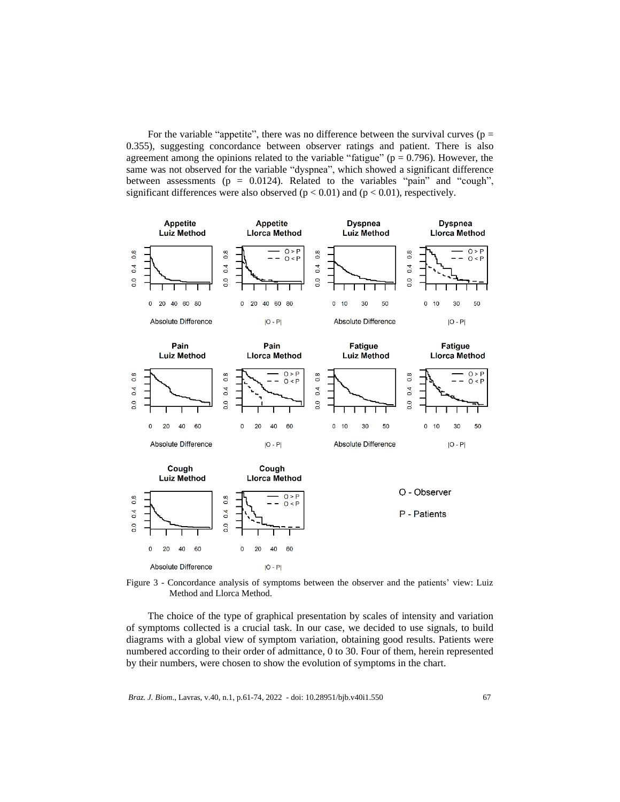For the variable "appetite", there was no difference between the survival curves ( $p =$ 0.355), suggesting concordance between observer ratings and patient. There is also agreement among the opinions related to the variable "fatigue" ( $p = 0.796$ ). However, the same was not observed for the variable "dyspnea", which showed a significant difference between assessments ( $p = 0.0124$ ). Related to the variables "pain" and "cough", significant differences were also observed ( $p < 0.01$ ) and ( $p < 0.01$ ), respectively.



Figure 3 - Concordance analysis of symptoms between the observer and the patients' view: Luiz Method and Llorca Method.

The choice of the type of graphical presentation by scales of intensity and variation of symptoms collected is a crucial task. In our case, we decided to use signals, to build diagrams with a global view of symptom variation, obtaining good results. Patients were numbered according to their order of admittance, 0 to 30. Four of them, herein represented by their numbers, were chosen to show the evolution of symptoms in the chart.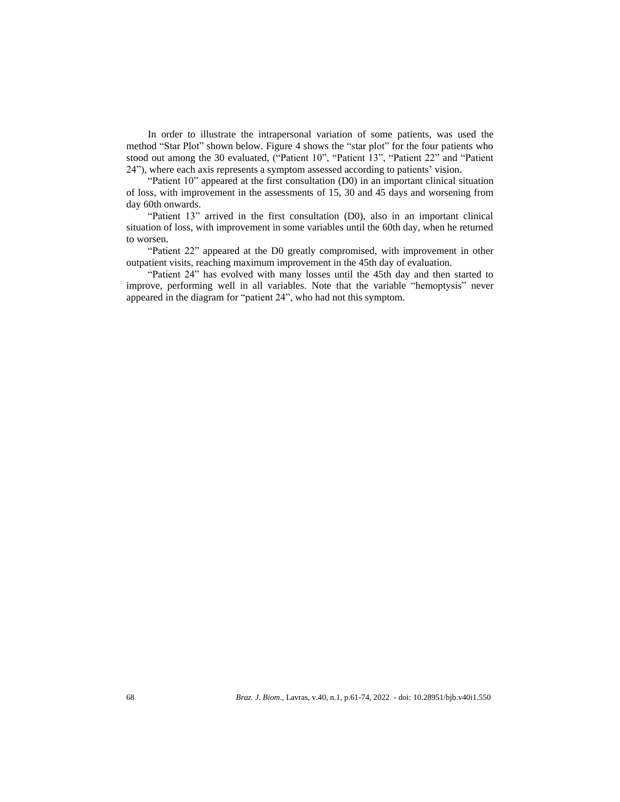In order to illustrate the intrapersonal variation of some patients, was used the method "Star Plot" shown below. Figure 4 shows the "star plot" for the four patients who stood out among the 30 evaluated, ("Patient 10", "Patient 13", "Patient 22" and "Patient 24"), where each axis represents a symptom assessed according to patients' vision.

"Patient 10" appeared at the first consultation (D0) in an important clinical situation of loss, with improvement in the assessments of 15, 30 and 45 days and worsening from day 60th onwards.

"Patient 13" arrived in the first consultation (D0), also in an important clinical situation of loss, with improvement in some variables until the 60th day, when he returned to worsen.

"Patient 22" appeared at the D0 greatly compromised, with improvement in other outpatient visits, reaching maximum improvement in the 45th day of evaluation.

"Patient 24" has evolved with many losses until the 45th day and then started to improve, performing well in all variables. Note that the variable "hemoptysis" never appeared in the diagram for "patient 24", who had not this symptom.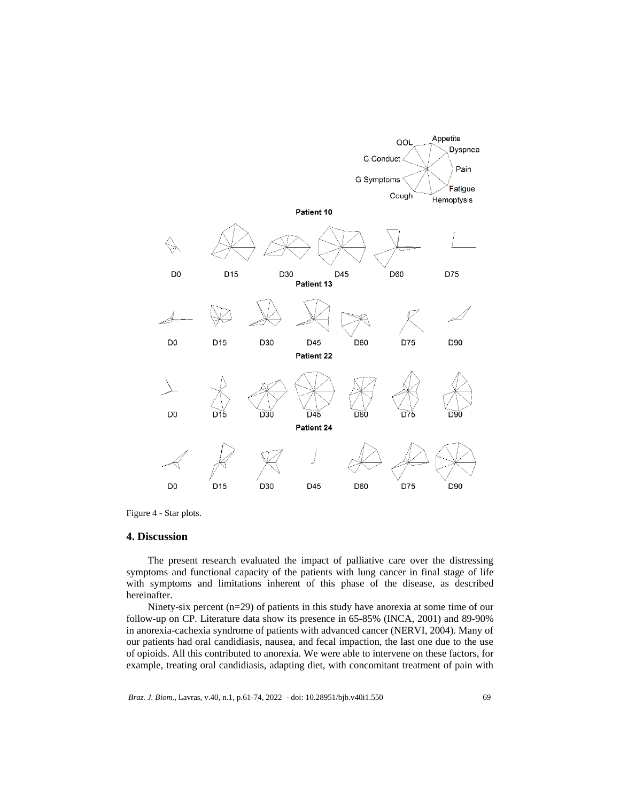

Figure 4 - Star plots.

### **4. Discussion**

The present research evaluated the impact of palliative care over the distressing symptoms and functional capacity of the patients with lung cancer in final stage of life with symptoms and limitations inherent of this phase of the disease, as described hereinafter.

Ninety-six percent (n=29) of patients in this study have anorexia at some time of our follow-up on CP. Literature data show its presence in 65-85% (INCA, 2001) and 89-90% in anorexia-cachexia syndrome of patients with advanced cancer (NERVI, 2004). Many of our patients had oral candidiasis, nausea, and fecal impaction, the last one due to the use of opioids. All this contributed to anorexia. We were able to intervene on these factors, for example, treating oral candidiasis, adapting diet, with concomitant treatment of pain with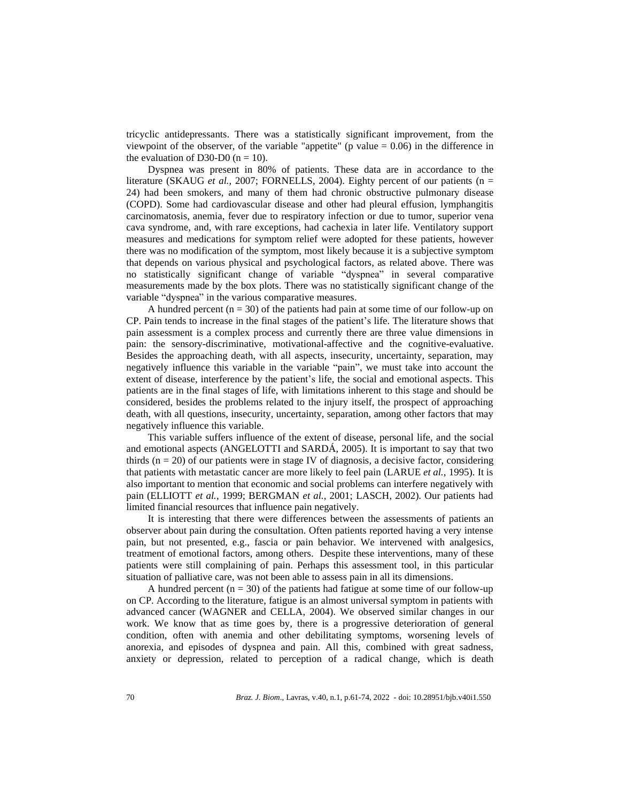tricyclic antidepressants. There was a statistically significant improvement, from the viewpoint of the observer, of the variable "appetite" (p value  $= 0.06$ ) in the difference in the evaluation of D30-D0 ( $n = 10$ ).

Dyspnea was present in 80% of patients. These data are in accordance to the literature (SKAUG *et al.*, 2007; FORNELLS, 2004). Eighty percent of our patients (n = 24) had been smokers, and many of them had chronic obstructive pulmonary disease (COPD). Some had cardiovascular disease and other had pleural effusion, lymphangitis carcinomatosis, anemia, fever due to respiratory infection or due to tumor, superior vena cava syndrome, and, with rare exceptions, had cachexia in later life. Ventilatory support measures and medications for symptom relief were adopted for these patients, however there was no modification of the symptom, most likely because it is a subjective symptom that depends on various physical and psychological factors, as related above. There was no statistically significant change of variable "dyspnea" in several comparative measurements made by the box plots. There was no statistically significant change of the variable "dyspnea" in the various comparative measures.

A hundred percent  $(n = 30)$  of the patients had pain at some time of our follow-up on CP. Pain tends to increase in the final stages of the patient's life. The literature shows that pain assessment is a complex process and currently there are three value dimensions in pain: the sensory-discriminative, motivational-affective and the cognitive-evaluative. Besides the approaching death, with all aspects, insecurity, uncertainty, separation, may negatively influence this variable in the variable "pain", we must take into account the extent of disease, interference by the patient's life, the social and emotional aspects. This patients are in the final stages of life, with limitations inherent to this stage and should be considered, besides the problems related to the injury itself, the prospect of approaching death, with all questions, insecurity, uncertainty, separation, among other factors that may negatively influence this variable.

This variable suffers influence of the extent of disease, personal life, and the social and emotional aspects (ANGELOTTI and SARDÁ, 2005). It is important to say that two thirds  $(n = 20)$  of our patients were in stage IV of diagnosis, a decisive factor, considering that patients with metastatic cancer are more likely to feel pain (LARUE *et al.*, 1995). It is also important to mention that economic and social problems can interfere negatively with pain (ELLIOTT *et al.*, 1999; BERGMAN *et al.*, 2001; LASCH, 2002). Our patients had limited financial resources that influence pain negatively.

It is interesting that there were differences between the assessments of patients an observer about pain during the consultation. Often patients reported having a very intense pain, but not presented, e.g., fascia or pain behavior. We intervened with analgesics, treatment of emotional factors, among others. Despite these interventions, many of these patients were still complaining of pain. Perhaps this assessment tool, in this particular situation of palliative care, was not been able to assess pain in all its dimensions.

A hundred percent  $(n = 30)$  of the patients had fatigue at some time of our follow-up on CP. According to the literature, fatigue is an almost universal symptom in patients with advanced cancer (WAGNER and CELLA, 2004). We observed similar changes in our work. We know that as time goes by, there is a progressive deterioration of general condition, often with anemia and other debilitating symptoms, worsening levels of anorexia, and episodes of dyspnea and pain. All this, combined with great sadness, anxiety or depression, related to perception of a radical change, which is death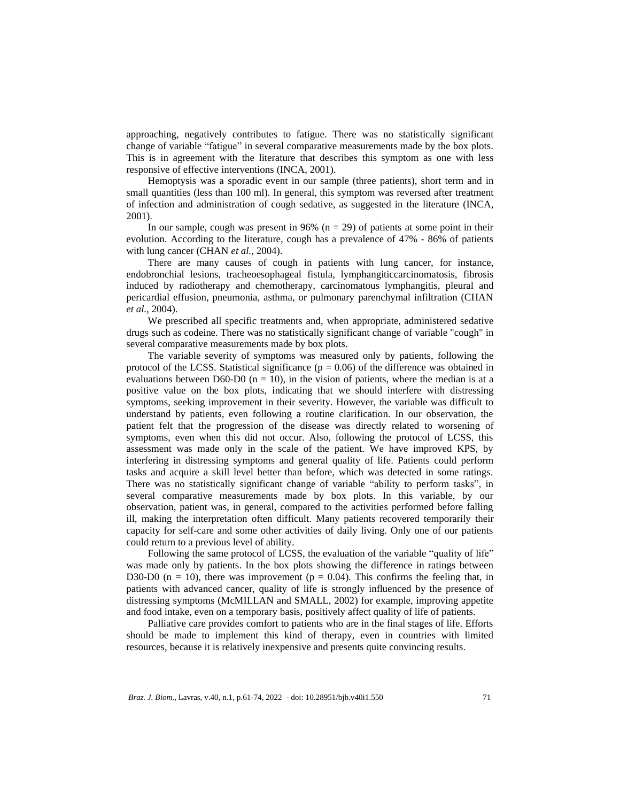approaching, negatively contributes to fatigue. There was no statistically significant change of variable "fatigue" in several comparative measurements made by the box plots. This is in agreement with the literature that describes this symptom as one with less responsive of effective interventions (INCA, 2001).

Hemoptysis was a sporadic event in our sample (three patients), short term and in small quantities (less than 100 ml). In general, this symptom was reversed after treatment of infection and administration of cough sedative, as suggested in the literature (INCA, 2001).

In our sample, cough was present in 96% ( $n = 29$ ) of patients at some point in their evolution. According to the literature, cough has a prevalence of 47% - 86% of patients with lung cancer (CHAN *et al.*, 2004).

There are many causes of cough in patients with lung cancer, for instance, endobronchial lesions, tracheoesophageal fistula, lymphangiticcarcinomatosis, fibrosis induced by radiotherapy and chemotherapy, carcinomatous lymphangitis, pleural and pericardial effusion, pneumonia, asthma, or pulmonary parenchymal infiltration (CHAN *et al.*, 2004).

We prescribed all specific treatments and, when appropriate, administered sedative drugs such as codeine. There was no statistically significant change of variable "cough" in several comparative measurements made by box plots.

The variable severity of symptoms was measured only by patients, following the protocol of the LCSS. Statistical significance  $(p = 0.06)$  of the difference was obtained in evaluations between D60-D0 ( $n = 10$ ), in the vision of patients, where the median is at a positive value on the box plots, indicating that we should interfere with distressing symptoms, seeking improvement in their severity. However, the variable was difficult to understand by patients, even following a routine clarification. In our observation, the patient felt that the progression of the disease was directly related to worsening of symptoms, even when this did not occur. Also, following the protocol of LCSS, this assessment was made only in the scale of the patient. We have improved KPS, by interfering in distressing symptoms and general quality of life. Patients could perform tasks and acquire a skill level better than before, which was detected in some ratings. There was no statistically significant change of variable "ability to perform tasks", in several comparative measurements made by box plots. In this variable, by our observation, patient was, in general, compared to the activities performed before falling ill, making the interpretation often difficult. Many patients recovered temporarily their capacity for self-care and some other activities of daily living. Only one of our patients could return to a previous level of ability.

Following the same protocol of LCSS, the evaluation of the variable "quality of life" was made only by patients. In the box plots showing the difference in ratings between D30-D0 (n = 10), there was improvement (p = 0.04). This confirms the feeling that, in patients with advanced cancer, quality of life is strongly influenced by the presence of distressing symptoms (McMILLAN and SMALL, 2002) for example, improving appetite and food intake, even on a temporary basis, positively affect quality of life of patients.

Palliative care provides comfort to patients who are in the final stages of life. Efforts should be made to implement this kind of therapy, even in countries with limited resources, because it is relatively inexpensive and presents quite convincing results.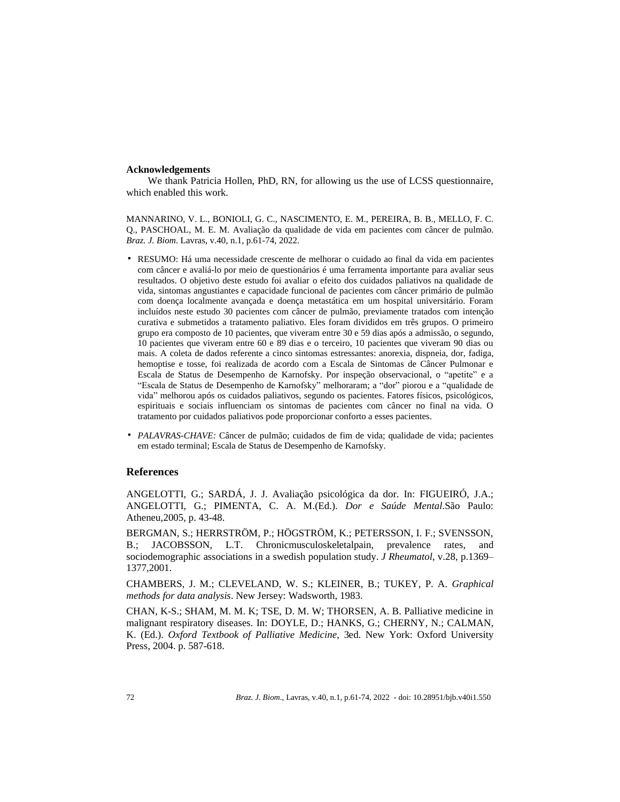### **Acknowledgements**

We thank Patricia Hollen, PhD, RN, for allowing us the use of LCSS questionnaire, which enabled this work.

MANNARINO, V. L., BONIOLI, G. C., NASCIMENTO, E. M., PEREIRA, B. B., MELLO, F. C. Q., PASCHOAL, M. E. M. Avaliação da qualidade de vida em pacientes com câncer de pulmão. *Braz. J. Biom*. Lavras, v.40, n.1, p.61-74, 2022.

- RESUMO: Há uma necessidade crescente de melhorar o cuidado ao final da vida em pacientes com câncer e avaliá-lo por meio de questionários é uma ferramenta importante para avaliar seus resultados. O objetivo deste estudo foi avaliar o efeito dos cuidados paliativos na qualidade de vida, sintomas angustiantes e capacidade funcional de pacientes com câncer primário de pulmão com doença localmente avançada e doença metastática em um hospital universitário. Foram incluídos neste estudo 30 pacientes com câncer de pulmão, previamente tratados com intenção curativa e submetidos a tratamento paliativo. Eles foram divididos em três grupos. O primeiro grupo era composto de 10 pacientes, que viveram entre 30 e 59 dias após a admissão, o segundo, 10 pacientes que viveram entre 60 e 89 dias e o terceiro, 10 pacientes que viveram 90 dias ou mais. A coleta de dados referente a cinco sintomas estressantes: anorexia, dispneia, dor, fadiga, hemoptise e tosse, foi realizada de acordo com a Escala de Sintomas de Câncer Pulmonar e Escala de Status de Desempenho de Karnofsky. Por inspeção observacional, o "apetite" e a "Escala de Status de Desempenho de Karnofsky" melhoraram; a "dor" piorou e a "qualidade de vida" melhorou após os cuidados paliativos, segundo os pacientes. Fatores físicos, psicológicos, espirituais e sociais influenciam os sintomas de pacientes com câncer no final na vida. O tratamento por cuidados paliativos pode proporcionar conforto a esses pacientes.
- *PALAVRAS-CHAVE:* Câncer de pulmão; cuidados de fim de vida; qualidade de vida; pacientes em estado terminal; Escala de Status de Desempenho de Karnofsky.

# **References**

ANGELOTTI, G.; SARDÁ, J. J. Avaliação psicológica da dor. In: FIGUEIRÓ, J.A.; ANGELOTTI, G.; PIMENTA, C. A. M.(Ed.). *Dor e Saúde Mental*.São Paulo: Atheneu,2005, p. 43-48.

BERGMAN, S.; HERRSTRÖM, P.; HÖGSTRÖM, K.; PETERSSON, I. F.; SVENSSON, B.; JACOBSSON, L.T. Chronicmusculoskeletalpain, prevalence rates, and sociodemographic associations in a swedish population study. *J Rheumatol*, v.28, p.1369– 1377,2001.

CHAMBERS, J. M.; CLEVELAND, W. S.; KLEINER, B.; TUKEY, P. A. *Graphical methods for data analysis*. New Jersey: Wadsworth, 1983.

CHAN, K-S.; SHAM, M. M. K; TSE, D. M. W; THORSEN, A. B. Palliative medicine in malignant respiratory diseases. In: DOYLE, D.; HANKS, G.; CHERNY, N.; CALMAN, K. (Ed.). *Oxford Textbook of Palliative Medicine*, 3ed. New York: Oxford University Press, 2004. p. 587-618.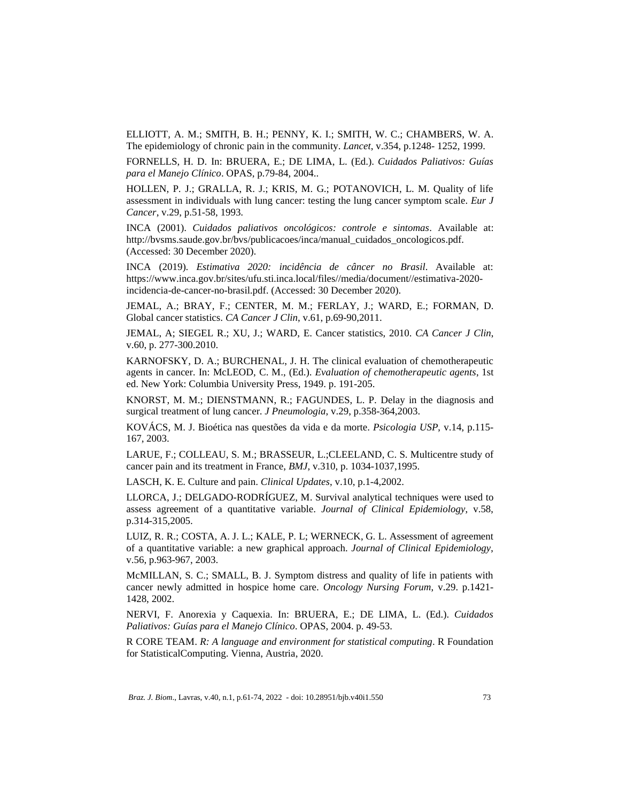ELLIOTT, A. M.; SMITH, B. H.; PENNY, K. I.; SMITH, W. C.; CHAMBERS, W. A. The epidemiology of chronic pain in the community. *Lancet*, v.354, p.1248- 1252, 1999.

FORNELLS, H. D. In: BRUERA, E.; DE LIMA, L. (Ed.). *Cuidados Paliativos: Guías para el Manejo Clínico*. OPAS, p.79-84, 2004..

HOLLEN, P. J.; GRALLA, R. J.; KRIS, M. G.; POTANOVICH, L. M. Quality of life assessment in individuals with lung cancer: testing the lung cancer symptom scale. *Eur J Cancer*, v.29, p.51-58, 1993.

INCA (2001). *Cuidados paliativos oncológicos: controle e sintomas*. Available at: http://bvsms.saude.gov.br/bvs/publicacoes/inca/manual\_cuidados\_oncologicos.pdf. (Accessed: 30 December 2020).

INCA (2019). *Estimativa 2020: incidência de câncer no Brasil*. Available at: https://www.inca.gov.br/sites/ufu.sti.inca.local/files//media/document//estimativa-2020 incidencia-de-cancer-no-brasil.pdf. (Accessed: 30 December 2020).

JEMAL, A.; BRAY, F.; CENTER, M. M.; FERLAY, J.; WARD, E.; FORMAN, D. Global cancer statistics. *CA Cancer J Clin*, v.61, p.69-90,2011.

JEMAL, A; SIEGEL R.; XU, J.; WARD, E. Cancer statistics, 2010. *CA Cancer J Clin*, v.60, p. 277-300.2010.

KARNOFSKY, D. A.; BURCHENAL, J. H. The clinical evaluation of chemotherapeutic agents in cancer. In: McLEOD, C. M., (Ed.). *Evaluation of chemotherapeutic agents*, 1st ed. New York: Columbia University Press, 1949. p. 191-205.

KNORST, M. M.; DIENSTMANN, R.; FAGUNDES, L. P. Delay in the diagnosis and surgical treatment of lung cancer. *J Pneumologia*, v.29, p.358-364,2003.

KOVÁCS, M. J. Bioética nas questões da vida e da morte. *Psicologia USP*, v.14, p.115- 167, 2003.

LARUE, F.; COLLEAU, S. M.; BRASSEUR, L.;CLEELAND, C. S. Multicentre study of cancer pain and its treatment in France, *BMJ*, v.310, p. 1034-1037,1995.

LASCH, K. E. Culture and pain. *Clinical Updates*, v.10, p.1-4,2002.

LLORCA, J.; DELGADO-RODRÍGUEZ, M. Survival analytical techniques were used to assess agreement of a quantitative variable. *Journal of Clinical Epidemiology*, v.58, p.314-315,2005.

LUIZ, R. R.; COSTA, A. J. L.; KALE, P. L; WERNECK, G. L. Assessment of agreement of a quantitative variable: a new graphical approach. *Journal of Clinical Epidemiology*, v.56, p.963-967, 2003.

McMILLAN, S. C.; SMALL, B. J. Symptom distress and quality of life in patients with cancer newly admitted in hospice home care. *Oncology Nursing Forum*, v.29. p.1421- 1428, 2002.

NERVI, F. Anorexia y Caquexia. In: BRUERA, E.; DE LIMA, L. (Ed.). *Cuidados Paliativos: Guías para el Manejo Clínico*. OPAS, 2004. p. 49-53.

R CORE TEAM. *R: A language and environment for statistical computing*. R Foundation for StatisticalComputing. Vienna, Austria, 2020.